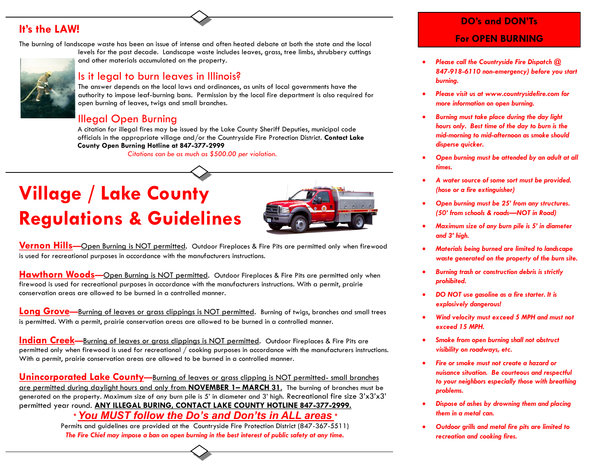## **It's the LAW!**

The burning of landscape waste has been an issue of intense and often heated debate at both the state and the local levels for the past decade. Landscape waste includes leaves, grass, tree limbs, shrubbery cuttings

#### and other materials accumulated on the property.

#### Is it legal to burn leaves in Illinois?

The answer depends on the local laws and ordinances, as units of local governments have the authority to impose leaf-burning bans. Permission by the local fire department is also required for open burning of leaves, twigs and small branches.

### Illegal Open Burning

 A citation for illegal fires may be issued by the Lake County Sheriff Deputies, municipal code officials in the appropriate village and/or the Countryside Fire Protection District. **Contact Lake County Open Burning Hotline at 847-377-2999** 

*Citations can be as much as \$500.00 per violation.*

# **Village / Lake County Regulations & Guidelines**



**Vernon Hills—**Open Burning is NOT permitted. Outdoor Fireplaces & Fire Pits are permitted only when firewood is used for recreational purposes in accordance with the manufacturers instructions.

**Hawthorn Woods-Open Burning is NOT permitted. Outdoor Fireplaces & Fire Pits are permitted only when** firewood is used for recreational purposes in accordance with the manufacturers instructions. With a permit, prairie conservation areas are allowed to be burned in a controlled manner.

**Long Grove—**Burning of leaves or grass clippings is NOT permitted. Burning of twigs, branches and small trees is permitted. With a permit, prairie conservation areas are allowed to be burned in a controlled manner.

**Indian Creek—Burning of leaves or grass clippings is NOT permitted. Outdoor Fireplaces & Fire Pits are** permitted only when firewood is used for recreational / cooking purposes in accordance with the manufacturers instructions. With a permit, prairie conservation areas are allowed to be burned in a controlled manner.

**Unincorporated Lake County—**Burning of leaves or grass clipping is NOT permitted- small branches are permitted during daylight hours and only from **NOVEMBER 1– MARCH 31**. The burning of branches must be generated on the property. Maximum size of any burn pile is 5' in diameter and 3' high. Recreational fire size  $3'x3'x3'$ permitted year round. **ANY ILLEGAL BURING, CONTACT LAKE COUNTY HOTLINE 847-377-2999.** *\* You MUST follow the Do's and Don'ts in ALL areas \**

Permits and guidelines are provided at the Countryside Fire Protection District (847-367-5511) *The Fire Chief may impose a ban on open burning in the best interest of public safety at any time.*

## **DO's and DON'Ts For OPEN BURNING**

- *Please call the Countryside Fire Dispatch @ 847-918-6110 non-emergency) before you start burning.*
- *Please visit us at www.countrysidefire.com for more information on open burning.*
- *Burning must take place during the day light hours only. Best time of the day to burn is the mid-morning to mid-afternoon as smoke should disperse quicker.*
- *Open burning must be attended by an adult at all times.*
- *A water source of some sort must be provided. (hose or a fire extinguisher)*
- *Open burning must be 25' from any structures. (50' from schools & roads—NOT in Road)*
- *Maximum size of any burn pile is 5' in diameter and 3' high.*
- *Materials being burned are limited to landscape waste generated on the property of the burn site.*
- *Burning trash or construction debris is strictly prohibited.*
- *DO NOT use gasoline as a fire starter. It is explosively dangerous!*
- *Wind velocity must exceed 5 MPH and must not exceed 15 MPH.*
- *Smoke from open burning shall not obstruct visibility on roadways, etc.*
- *Fire or smoke must not create a hazard or nuisance situation. Be courteous and respectful to your neighbors especially those with breathing problems.*
- *Dispose of ashes by drowning them and placing them in a metal can.*
- *Outdoor grills and metal fire pits are limited to recreation and cooking fires.*